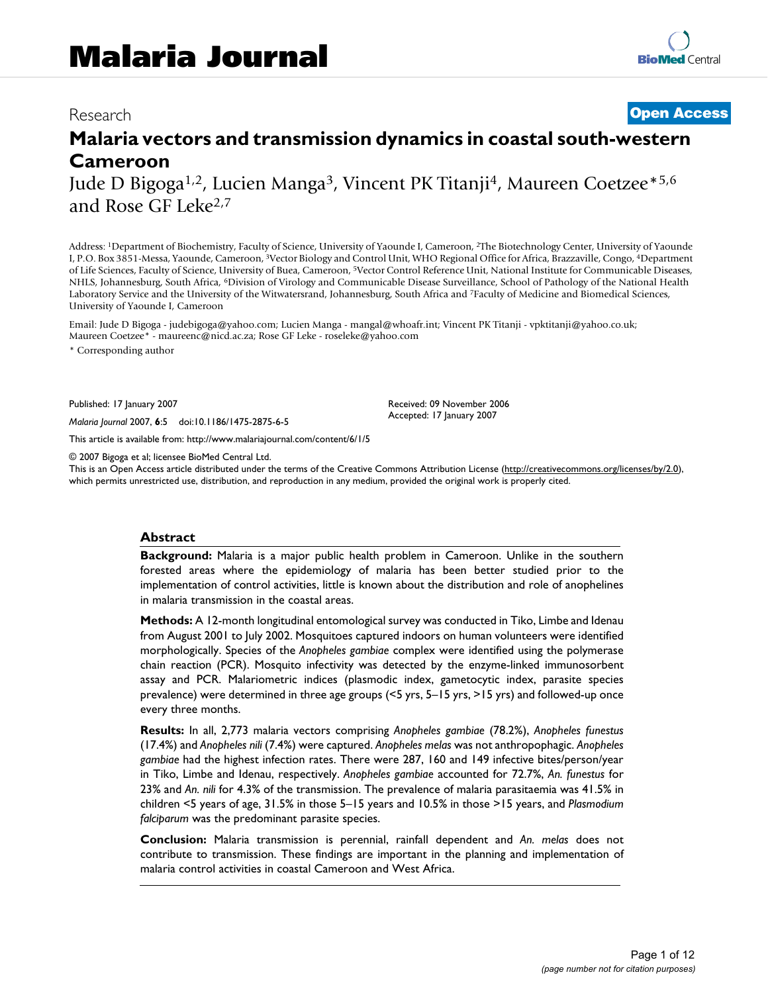# Research **[Open Access](http://www.biomedcentral.com/info/about/charter/)**

# **Malaria vectors and transmission dynamics in coastal south-western Cameroon**

Jude D Bigoga1,2, Lucien Manga3, Vincent PK Titanji4, Maureen Coetzee\*5,6 and Rose GF Leke2,7

Address: 1Department of Biochemistry, Faculty of Science, University of Yaounde I, Cameroon, 2The Biotechnology Center, University of Yaounde I, P.O. Box 3851-Messa, Yaounde, Cameroon, 3Vector Biology and Control Unit, WHO Regional Office for Africa, Brazzaville, Congo, 4Department of Life Sciences, Faculty of Science, University of Buea, Cameroon, 5Vector Control Reference Unit, National Institute for Communicable Diseases, NHLS, Johannesburg, South Africa, 6Division of Virology and Communicable Disease Surveillance, School of Pathology of the National Health Laboratory Service and the University of the Witwatersrand, Johannesburg, South Africa and 7Faculty of Medicine and Biomedical Sciences, University of Yaounde I, Cameroon

Email: Jude D Bigoga - judebigoga@yahoo.com; Lucien Manga - mangal@whoafr.int; Vincent PK Titanji - vpktitanji@yahoo.co.uk; Maureen Coetzee\* - maureenc@nicd.ac.za; Rose GF Leke - roseleke@yahoo.com

\* Corresponding author

Published: 17 January 2007

*Malaria Journal* 2007, **6**:5 doi:10.1186/1475-2875-6-5

[This article is available from: http://www.malariajournal.com/content/6/1/5](http://www.malariajournal.com/content/6/1/5)

© 2007 Bigoga et al; licensee BioMed Central Ltd.

This is an Open Access article distributed under the terms of the Creative Commons Attribution License [\(http://creativecommons.org/licenses/by/2.0\)](http://creativecommons.org/licenses/by/2.0), which permits unrestricted use, distribution, and reproduction in any medium, provided the original work is properly cited.

Received: 09 November 2006 Accepted: 17 January 2007

#### **Abstract**

**Background:** Malaria is a major public health problem in Cameroon. Unlike in the southern forested areas where the epidemiology of malaria has been better studied prior to the implementation of control activities, little is known about the distribution and role of anophelines in malaria transmission in the coastal areas.

**Methods:** A 12-month longitudinal entomological survey was conducted in Tiko, Limbe and Idenau from August 2001 to July 2002. Mosquitoes captured indoors on human volunteers were identified morphologically. Species of the *Anopheles gambiae* complex were identified using the polymerase chain reaction (PCR). Mosquito infectivity was detected by the enzyme-linked immunosorbent assay and PCR. Malariometric indices (plasmodic index, gametocytic index, parasite species prevalence) were determined in three age groups (<5 yrs, 5–15 yrs, >15 yrs) and followed-up once every three months.

**Results:** In all, 2,773 malaria vectors comprising *Anopheles gambiae* (78.2%), *Anopheles funestus* (17.4%) and *Anopheles nili* (7.4%) were captured. *Anopheles melas* was not anthropophagic. *Anopheles gambiae* had the highest infection rates. There were 287, 160 and 149 infective bites/person/year in Tiko, Limbe and Idenau, respectively. *Anopheles gambiae* accounted for 72.7%, *An. funestus* for 23% and *An. nili* for 4.3% of the transmission. The prevalence of malaria parasitaemia was 41.5% in children <5 years of age, 31.5% in those 5–15 years and 10.5% in those >15 years, and *Plasmodium falciparum* was the predominant parasite species.

**Conclusion:** Malaria transmission is perennial, rainfall dependent and *An. melas* does not contribute to transmission. These findings are important in the planning and implementation of malaria control activities in coastal Cameroon and West Africa.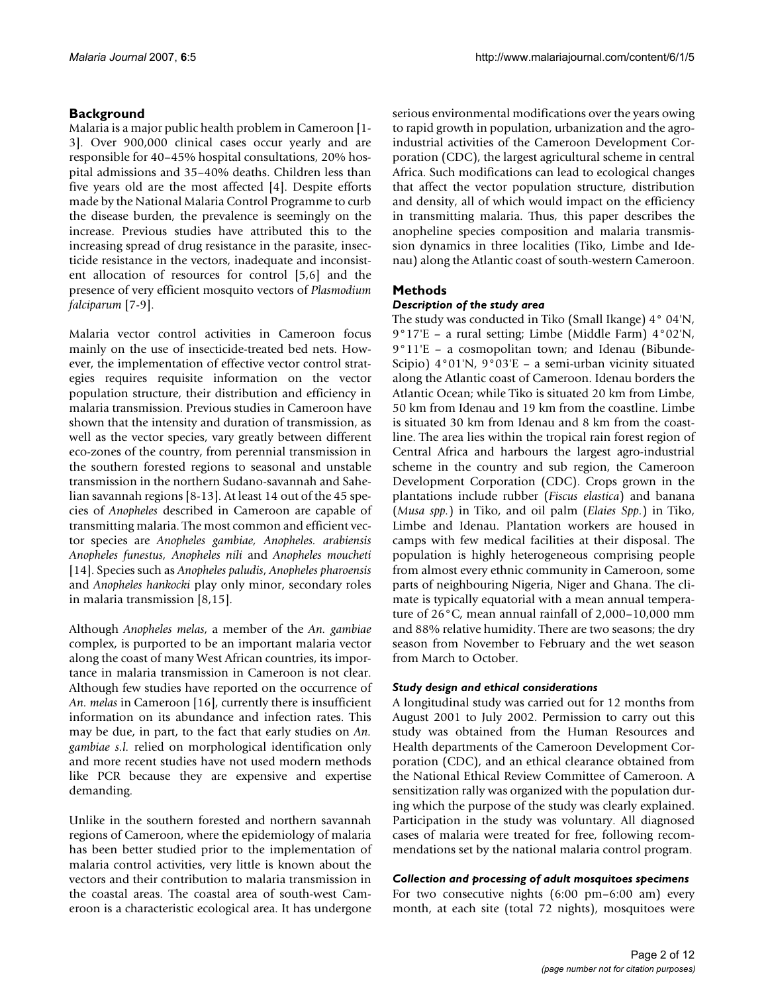# **Background**

Malaria is a major public health problem in Cameroon [1- 3]. Over 900,000 clinical cases occur yearly and are responsible for 40–45% hospital consultations, 20% hospital admissions and 35–40% deaths. Children less than five years old are the most affected [4]. Despite efforts made by the National Malaria Control Programme to curb the disease burden, the prevalence is seemingly on the increase. Previous studies have attributed this to the increasing spread of drug resistance in the parasite, insecticide resistance in the vectors, inadequate and inconsistent allocation of resources for control [\[5](#page-10-0)[,6\]](#page-10-1) and the presence of very efficient mosquito vectors of *Plasmodium falciparum* [7-9].

Malaria vector control activities in Cameroon focus mainly on the use of insecticide-treated bed nets. However, the implementation of effective vector control strategies requires requisite information on the vector population structure, their distribution and efficiency in malaria transmission. Previous studies in Cameroon have shown that the intensity and duration of transmission, as well as the vector species, vary greatly between different eco-zones of the country, from perennial transmission in the southern forested regions to seasonal and unstable transmission in the northern Sudano-savannah and Sahelian savannah regions [8-13]. At least 14 out of the 45 species of *Anopheles* described in Cameroon are capable of transmitting malaria. The most common and efficient vector species are *Anopheles gambiae, Anopheles. arabiensis Anopheles funestus, Anopheles nili* and *Anopheles moucheti* [14]. Species such as *Anopheles paludis*, *Anopheles pharoensis* and *Anopheles hankocki* play only minor, secondary roles in malaria transmission [8,15].

Although *Anopheles melas*, a member of the *An. gambiae* complex, is purported to be an important malaria vector along the coast of many West African countries, its importance in malaria transmission in Cameroon is not clear. Although few studies have reported on the occurrence of *An. melas* in Cameroon [16], currently there is insufficient information on its abundance and infection rates. This may be due, in part, to the fact that early studies on *An. gambiae s.l.* relied on morphological identification only and more recent studies have not used modern methods like PCR because they are expensive and expertise demanding.

Unlike in the southern forested and northern savannah regions of Cameroon, where the epidemiology of malaria has been better studied prior to the implementation of malaria control activities, very little is known about the vectors and their contribution to malaria transmission in the coastal areas. The coastal area of south-west Cameroon is a characteristic ecological area. It has undergone

serious environmental modifications over the years owing to rapid growth in population, urbanization and the agroindustrial activities of the Cameroon Development Corporation (CDC), the largest agricultural scheme in central Africa. Such modifications can lead to ecological changes that affect the vector population structure, distribution and density, all of which would impact on the efficiency in transmitting malaria. Thus, this paper describes the anopheline species composition and malaria transmission dynamics in three localities (Tiko, Limbe and Idenau) along the Atlantic coast of south-western Cameroon.

# **Methods**

#### *Description of the study area*

The study was conducted in Tiko (Small Ikange) 4° 04'N, 9°17'E – a rural setting; Limbe (Middle Farm) 4°02'N, 9°11'E – a cosmopolitan town; and Idenau (Bibunde-Scipio) 4°01'N, 9°03'E – a semi-urban vicinity situated along the Atlantic coast of Cameroon. Idenau borders the Atlantic Ocean; while Tiko is situated 20 km from Limbe, 50 km from Idenau and 19 km from the coastline. Limbe is situated 30 km from Idenau and 8 km from the coastline. The area lies within the tropical rain forest region of Central Africa and harbours the largest agro-industrial scheme in the country and sub region, the Cameroon Development Corporation (CDC). Crops grown in the plantations include rubber (*Fiscus elastica*) and banana (*Musa spp.*) in Tiko, and oil palm (*Elaies Spp.*) in Tiko, Limbe and Idenau. Plantation workers are housed in camps with few medical facilities at their disposal. The population is highly heterogeneous comprising people from almost every ethnic community in Cameroon, some parts of neighbouring Nigeria, Niger and Ghana. The climate is typically equatorial with a mean annual temperature of 26°C, mean annual rainfall of 2,000–10,000 mm and 88% relative humidity. There are two seasons; the dry season from November to February and the wet season from March to October.

# *Study design and ethical considerations*

A longitudinal study was carried out for 12 months from August 2001 to July 2002. Permission to carry out this study was obtained from the Human Resources and Health departments of the Cameroon Development Corporation (CDC), and an ethical clearance obtained from the National Ethical Review Committee of Cameroon. A sensitization rally was organized with the population during which the purpose of the study was clearly explained. Participation in the study was voluntary. All diagnosed cases of malaria were treated for free, following recommendations set by the national malaria control program.

# *Collection and processing of adult mosquitoes specimens*

For two consecutive nights (6:00 pm–6:00 am) every month, at each site (total 72 nights), mosquitoes were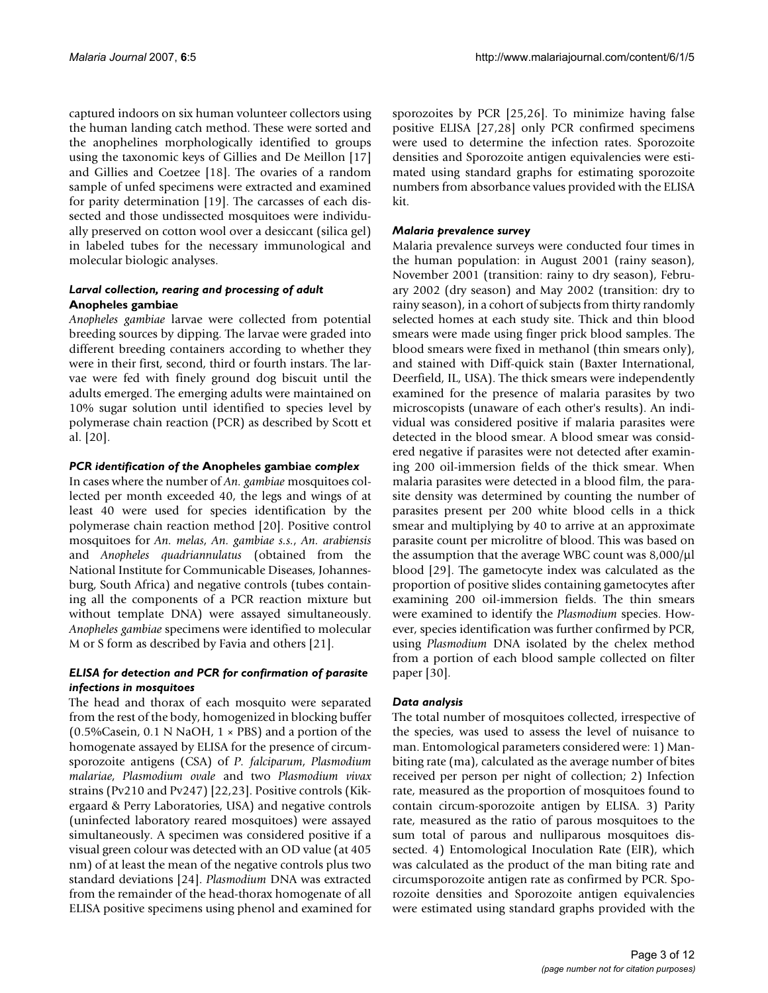captured indoors on six human volunteer collectors using the human landing catch method. These were sorted and the anophelines morphologically identified to groups using the taxonomic keys of Gillies and De Meillon [17] and Gillies and Coetzee [18]. The ovaries of a random sample of unfed specimens were extracted and examined for parity determination [19]. The carcasses of each dissected and those undissected mosquitoes were individually preserved on cotton wool over a desiccant (silica gel) in labeled tubes for the necessary immunological and molecular biologic analyses.

# *Larval collection, rearing and processing of adult*  **Anopheles gambiae**

*Anopheles gambiae* larvae were collected from potential breeding sources by dipping. The larvae were graded into different breeding containers according to whether they were in their first, second, third or fourth instars. The larvae were fed with finely ground dog biscuit until the adults emerged. The emerging adults were maintained on 10% sugar solution until identified to species level by polymerase chain reaction (PCR) as described by Scott et al. [\[20\]](#page-10-2).

#### *PCR identification of the* **Anopheles gambiae** *complex*

In cases where the number of *An. gambiae* mosquitoes collected per month exceeded 40, the legs and wings of at least 40 were used for species identification by the polymerase chain reaction method [[20\]](#page-10-2). Positive control mosquitoes for *An. melas*, *An. gambiae s.s.*, *An. arabiensis* and *Anopheles quadriannulatus* (obtained from the National Institute for Communicable Diseases, Johannesburg, South Africa) and negative controls (tubes containing all the components of a PCR reaction mixture but without template DNA) were assayed simultaneously. *Anopheles gambiae* specimens were identified to molecular M or S form as described by Favia and others [21].

#### *ELISA for detection and PCR for confirmation of parasite infections in mosquitoes*

The head and thorax of each mosquito were separated from the rest of the body, homogenized in blocking buffer (0.5%Casein, 0.1 N NaOH,  $1 \times PBS$ ) and a portion of the homogenate assayed by ELISA for the presence of circumsporozoite antigens (CSA) of *P. falciparum*, *Plasmodium malariae*, *Plasmodium ovale* and two *Plasmodium vivax* strains (Pv210 and Pv247) [22,[23](#page-10-3)]. Positive controls (Kikergaard & Perry Laboratories, USA) and negative controls (uninfected laboratory reared mosquitoes) were assayed simultaneously. A specimen was considered positive if a visual green colour was detected with an OD value (at 405 nm) of at least the mean of the negative controls plus two standard deviations [24]. *Plasmodium* DNA was extracted from the remainder of the head-thorax homogenate of all ELISA positive specimens using phenol and examined for

sporozoites by PCR [25,26]. To minimize having false positive ELISA [27,28] only PCR confirmed specimens were used to determine the infection rates. Sporozoite densities and Sporozoite antigen equivalencies were estimated using standard graphs for estimating sporozoite numbers from absorbance values provided with the ELISA kit.

### *Malaria prevalence survey*

Malaria prevalence surveys were conducted four times in the human population: in August 2001 (rainy season), November 2001 (transition: rainy to dry season), February 2002 (dry season) and May 2002 (transition: dry to rainy season), in a cohort of subjects from thirty randomly selected homes at each study site. Thick and thin blood smears were made using finger prick blood samples. The blood smears were fixed in methanol (thin smears only), and stained with Diff-quick stain (Baxter International, Deerfield, IL, USA). The thick smears were independently examined for the presence of malaria parasites by two microscopists (unaware of each other's results). An individual was considered positive if malaria parasites were detected in the blood smear. A blood smear was considered negative if parasites were not detected after examining 200 oil-immersion fields of the thick smear. When malaria parasites were detected in a blood film, the parasite density was determined by counting the number of parasites present per 200 white blood cells in a thick smear and multiplying by 40 to arrive at an approximate parasite count per microlitre of blood. This was based on the assumption that the average WBC count was 8,000/μl blood [29]. The gametocyte index was calculated as the proportion of positive slides containing gametocytes after examining 200 oil-immersion fields. The thin smears were examined to identify the *Plasmodium* species. However, species identification was further confirmed by PCR, using *Plasmodium* DNA isolated by the chelex method from a portion of each blood sample collected on filter paper [[30\]](#page-11-0).

# *Data analysis*

The total number of mosquitoes collected, irrespective of the species, was used to assess the level of nuisance to man. Entomological parameters considered were: 1) Manbiting rate (ma), calculated as the average number of bites received per person per night of collection; 2) Infection rate, measured as the proportion of mosquitoes found to contain circum-sporozoite antigen by ELISA. 3) Parity rate, measured as the ratio of parous mosquitoes to the sum total of parous and nulliparous mosquitoes dissected. 4) Entomological Inoculation Rate (EIR), which was calculated as the product of the man biting rate and circumsporozoite antigen rate as confirmed by PCR. Sporozoite densities and Sporozoite antigen equivalencies were estimated using standard graphs provided with the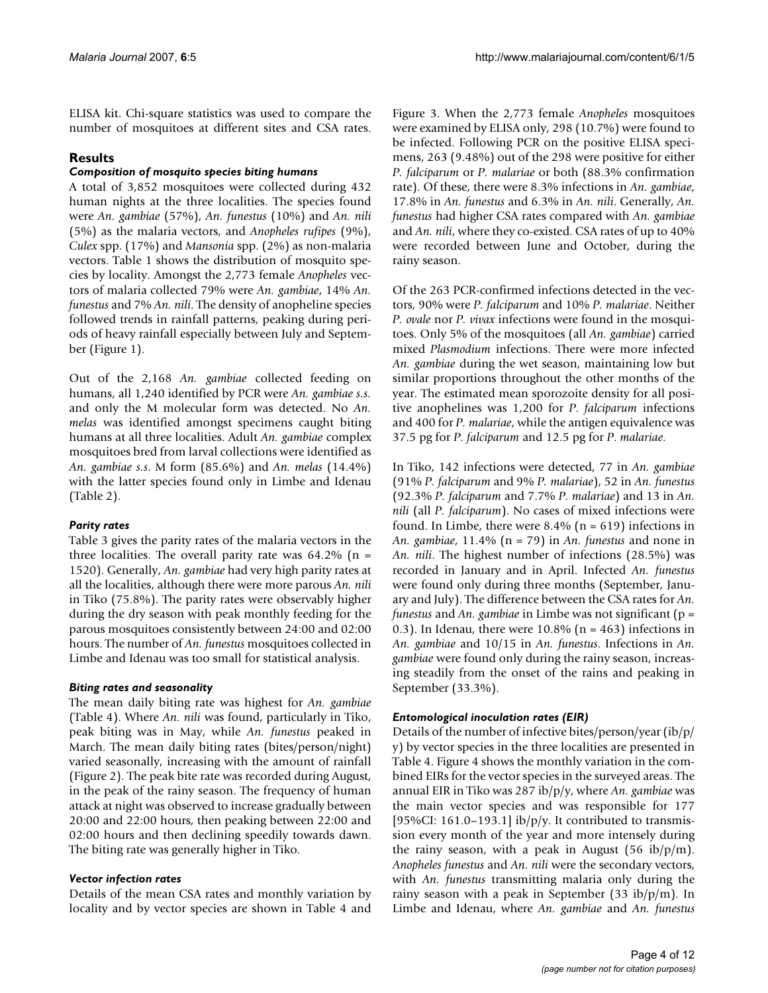ELISA kit. Chi-square statistics was used to compare the number of mosquitoes at different sites and CSA rates.

# **Results**

# *Composition of mosquito species biting humans*

A total of 3,852 mosquitoes were collected during 432 human nights at the three localities. The species found were *An. gambiae* (57%), *An. funestus* (10%) and *An. nili* (5%) as the malaria vectors, and *Anopheles rufipes* (9%), *Culex* spp. (17%) and *Mansonia* spp. (2%) as non-malaria vectors. Table 1 shows the distribution of mosquito species by locality. Amongst the 2,773 female *Anopheles* vectors of malaria collected 79% were *An. gambiae*, 14% *An. funestus* and 7% *An. nili*. The density of anopheline species followed trends in rainfall patterns, peaking during periods of heavy rainfall especially between July and September (Figure 1).

Out of the 2,168 *An. gambiae* collected feeding on humans, all 1,240 identified by PCR were *An. gambiae s.s.* and only the M molecular form was detected. No *An. melas* was identified amongst specimens caught biting humans at all three localities. Adult *An. gambiae* complex mosquitoes bred from larval collections were identified as *An. gambiae s.s*. M form (85.6%) and *An. melas* (14.4%) with the latter species found only in Limbe and Idenau (Table 2).

# *Parity rates*

Table 3 gives the parity rates of the malaria vectors in the three localities. The overall parity rate was  $64.2\%$  (n = 1520). Generally, *An. gambiae* had very high parity rates at all the localities, although there were more parous *An. nili* in Tiko (75.8%). The parity rates were observably higher during the dry season with peak monthly feeding for the parous mosquitoes consistently between 24:00 and 02:00 hours. The number of *An. funestus* mosquitoes collected in Limbe and Idenau was too small for statistical analysis.

# *Biting rates and seasonality*

The mean daily biting rate was highest for *An. gambiae* (Table 4). Where *An. nili* was found, particularly in Tiko, peak biting was in May, while *An. funestus* peaked in March. The mean daily biting rates (bites/person/night) varied seasonally, increasing with the amount of rainfall (Figure 2). The peak bite rate was recorded during August, in the peak of the rainy season. The frequency of human attack at night was observed to increase gradually between 20:00 and 22:00 hours, then peaking between 22:00 and 02:00 hours and then declining speedily towards dawn. The biting rate was generally higher in Tiko.

# *Vector infection rates*

Details of the mean CSA rates and monthly variation by locality and by vector species are shown in Table 4 and

Figure 3. When the 2,773 female *Anopheles* mosquitoes were examined by ELISA only, 298 (10.7%) were found to be infected. Following PCR on the positive ELISA specimens, 263 (9.48%) out of the 298 were positive for either *P. falciparum* or *P. malariae* or both (88.3% confirmation rate). Of these, there were 8.3% infections in *An. gambiae*, 17.8% in *An. funestus* and 6.3% in *An. nili*. Generally, *An. funestus* had higher CSA rates compared with *An. gambiae* and *An. nili*, where they co-existed. CSA rates of up to 40% were recorded between June and October, during the rainy season.

Of the 263 PCR-confirmed infections detected in the vectors, 90% were *P. falciparum* and 10% *P. malariae*. Neither *P. ovale* nor *P. vivax* infections were found in the mosquitoes. Only 5% of the mosquitoes (all *An. gambiae*) carried mixed *Plasmodium* infections. There were more infected *An. gambiae* during the wet season, maintaining low but similar proportions throughout the other months of the year. The estimated mean sporozoite density for all positive anophelines was 1,200 for *P*. *falciparum* infections and 400 for *P. malariae*, while the antigen equivalence was 37.5 pg for *P*. *falciparum* and 12.5 pg for *P*. *malariae*.

In Tiko, 142 infections were detected, 77 in *An. gambiae* (91% *P. falciparum* and 9% *P. malariae*), 52 in *An. funestus* (92.3% *P. falciparum* and 7.7% *P. malariae*) and 13 in *An. nili* (all *P. falciparum*). No cases of mixed infections were found. In Limbe, there were  $8.4\%$  (n = 619) infections in *An. gambiae*, 11.4% (n = 79) in *An. funestus* and none in *An. nili*. The highest number of infections (28.5%) was recorded in January and in April. Infected *An. funestus* were found only during three months (September, January and July). The difference between the CSA rates for *An. funestus* and *An. gambiae* in Limbe was not significant (p = 0.3). In Idenau, there were  $10.8\%$  (n = 463) infections in *An. gambiae* and 10/15 in *An. funestus*. Infections in *An. gambiae* were found only during the rainy season, increasing steadily from the onset of the rains and peaking in September (33.3%).

# *Entomological inoculation rates (EIR)*

Details of the number of infective bites/person/year (ib/p/ y) by vector species in the three localities are presented in Table 4. Figure 4 shows the monthly variation in the combined EIRs for the vector species in the surveyed areas. The annual EIR in Tiko was 287 ib/p/y, where *An. gambiae* was the main vector species and was responsible for 177 [95%CI: 161.0–193.1] ib/p/y. It contributed to transmission every month of the year and more intensely during the rainy season, with a peak in August  $(56 \text{ ib}/p/m)$ . *Anopheles funestus* and *An. nili* were the secondary vectors, with *An. funestus* transmitting malaria only during the rainy season with a peak in September (33 ib/p/m). In Limbe and Idenau, where *An. gambiae* and *An. funestus*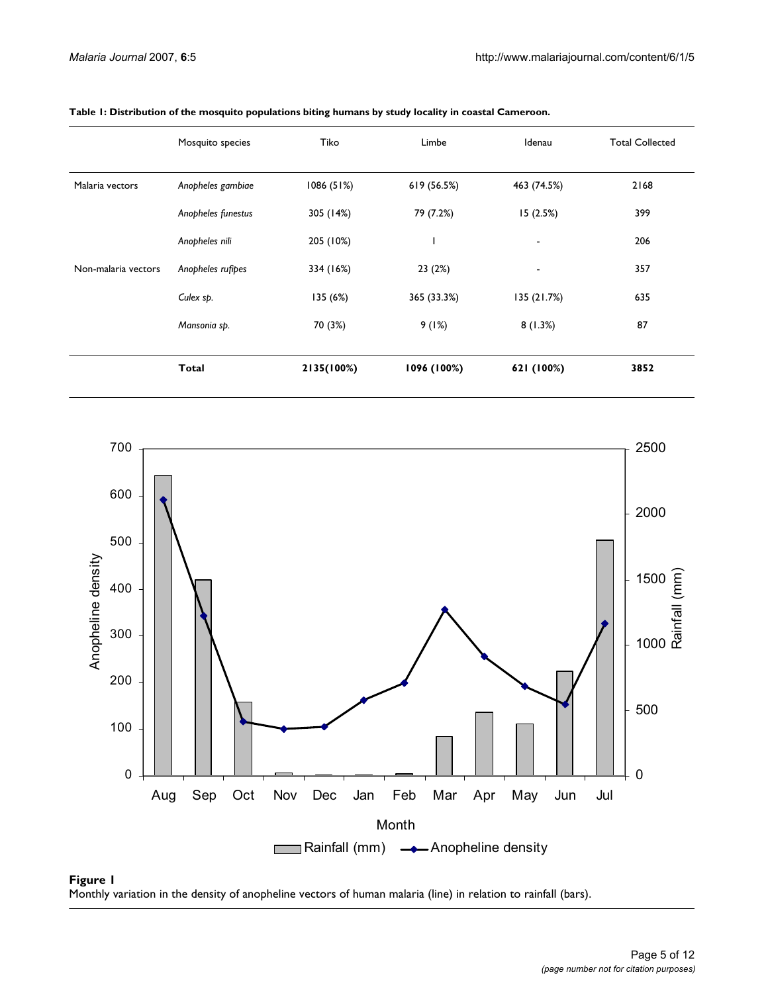|                     | Mosquito species   | Tiko       | Limbe       | Idenau         | <b>Total Collected</b> |
|---------------------|--------------------|------------|-------------|----------------|------------------------|
| Malaria vectors     | Anopheles gambiae  | 1086 (51%) | 619 (56.5%) | 463 (74.5%)    | 2168                   |
|                     | Anopheles funestus | 305 (14%)  | 79 (7.2%)   | 15(2.5%)       | 399                    |
|                     | Anopheles nili     | 205 (10%)  |             | $\blacksquare$ | 206                    |
| Non-malaria vectors | Anopheles rufipes  | 334 (16%)  | 23(2%)      | $\blacksquare$ | 357                    |
|                     | Culex sp.          | 135 (6%)   | 365 (33.3%) | 135(21.7%)     | 635                    |
|                     | Mansonia sp.       | 70 (3%)    | 9(1%)       | 8(1.3%)        | 87                     |
|                     | Total              | 2135(100%) | 1096 (100%) | 621 (100%)     | 3852                   |

**Table 1: Distribution of the mosquito populations biting humans by study locality in coastal Cameroon.**



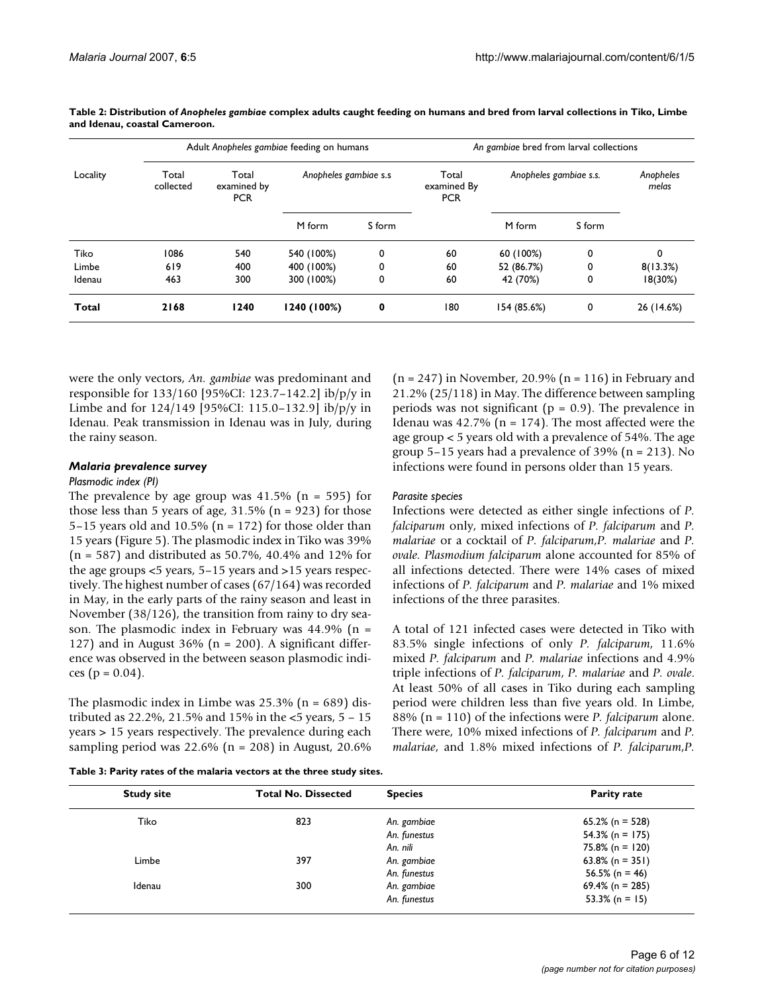|              |                    | Adult Anopheles gambiae feeding on humans |                       |        | An gambiae bred from larval collections |                        |        |                    |
|--------------|--------------------|-------------------------------------------|-----------------------|--------|-----------------------------------------|------------------------|--------|--------------------|
| Locality     | Total<br>collected | Total<br>examined by<br><b>PCR</b>        | Anopheles gambiae s.s |        | Total<br>examined By<br><b>PCR</b>      | Anopheles gambiae s.s. |        | Anopheles<br>melas |
|              |                    |                                           | M form                | S form |                                         | M form                 | S form |                    |
| Tiko         | 1086               | 540                                       | 540 (100%)            | 0      | 60                                      | 60 (100%)              | 0      | 0                  |
| Limbe        | 619                | 400                                       | 400 (100%)            | 0      | 60                                      | 52 (86.7%)             | 0      | 8(13.3%)           |
| Idenau       | 463                | 300                                       | 300 (100%)            | 0      | 60                                      | 42 (70%)               | 0      | 18(30%)            |
| <b>Total</b> | 2168               | 1240                                      | 1240 (100%)           | 0      | 180                                     | 154 (85.6%)            | 0      | 26 (14.6%)         |

**Table 2: Distribution of** *Anopheles gambiae* **complex adults caught feeding on humans and bred from larval collections in Tiko, Limbe and Idenau, coastal Cameroon.**

were the only vectors, *An. gambiae* was predominant and responsible for 133/160 [95%CI: 123.7–142.2] ib/p/y in Limbe and for 124/149 [95%CI: 115.0–132.9] ib/p/y in Idenau. Peak transmission in Idenau was in July, during the rainy season.

#### *Malaria prevalence survey*

#### *Plasmodic index (PI)*

The prevalence by age group was  $41.5\%$  (n = 595) for those less than 5 years of age,  $31.5\%$  (n = 923) for those 5–15 years old and 10.5% ( $n = 172$ ) for those older than 15 years (Figure 5). The plasmodic index in Tiko was 39% (n = 587) and distributed as 50.7%, 40.4% and 12% for the age groups <5 years, 5–15 years and >15 years respectively. The highest number of cases (67/164) was recorded in May, in the early parts of the rainy season and least in November (38/126), the transition from rainy to dry season. The plasmodic index in February was  $44.9\%$  (n = 127) and in August 36% ( $n = 200$ ). A significant difference was observed in the between season plasmodic indices ( $p = 0.04$ ).

The plasmodic index in Limbe was  $25.3\%$  (n = 689) distributed as 22.2%, 21.5% and 15% in the <5 years, 5 – 15 years > 15 years respectively. The prevalence during each sampling period was  $22.6\%$  (n = 208) in August, 20.6%

 $(n = 247)$  in November, 20.9%  $(n = 116)$  in February and 21.2% (25/118) in May. The difference between sampling periods was not significant ( $p = 0.9$ ). The prevalence in Idenau was  $42.7\%$  (n = 174). The most affected were the age group < 5 years old with a prevalence of 54%. The age group 5–15 years had a prevalence of 39% (n = 213). No infections were found in persons older than 15 years.

#### *Parasite species*

Infections were detected as either single infections of *P. falciparum* only, mixed infections of *P. falciparum* and *P. malariae* or a cocktail of *P. falciparum*,*P. malariae* and *P. ovale. Plasmodium falciparum* alone accounted for 85% of all infections detected. There were 14% cases of mixed infections of *P. falciparum* and *P. malariae* and 1% mixed infections of the three parasites.

A total of 121 infected cases were detected in Tiko with 83.5% single infections of only *P. falciparum*, 11.6% mixed *P. falciparum* and *P. malariae* infections and 4.9% triple infections of *P. falciparum*, *P. malariae* and *P. ovale*. At least 50% of all cases in Tiko during each sampling period were children less than five years old. In Limbe, 88% (n = 110) of the infections were *P. falciparum* alone. There were, 10% mixed infections of *P. falciparum* and *P. malariae*, and 1.8% mixed infections of *P. falciparum*,*P.*

**Table 3: Parity rates of the malaria vectors at the three study sites.**

| <b>Study site</b> | <b>Total No. Dissected</b> | <b>Species</b> | <b>Parity rate</b> |
|-------------------|----------------------------|----------------|--------------------|
| Tiko              | 823                        | An. gambiae    | $65.2\%$ (n = 528) |
|                   |                            | An. funestus   | $54.3\%$ (n = 175) |
|                   |                            | An. nili       | $75.8\%$ (n = 120) |
| Limbe             | 397                        | An. gambiae    | 63.8% (n = 351)    |
|                   |                            | An. funestus   | 56.5% (n = 46)     |
| Idenau            | 300                        | An. gambiae    | 69.4% (n = 285)    |
|                   |                            | An. funestus   | $53.3\%$ (n = 15)  |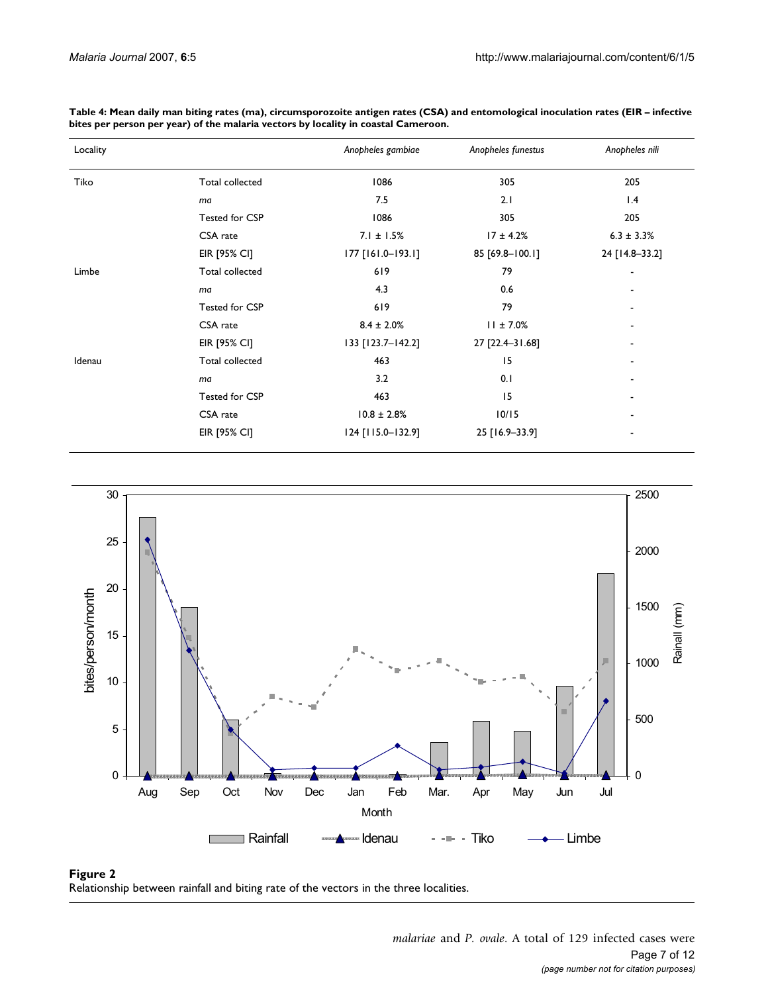| Locality |                 | Anopheles gambiae | Anopheles funestus | Anopheles nili  |
|----------|-----------------|-------------------|--------------------|-----------------|
| Tiko     | Total collected | 1086              | 305                | 205             |
|          | ma              | 7.5               | 2.1                | 1.4             |
|          | Tested for CSP  | 1086              | 305                | 205             |
|          | CSA rate        | $7.1 \pm 1.5\%$   | $17 \pm 4.2%$      | $6.3 \pm 3.3\%$ |
|          | EIR [95% CI]    | 177 [161.0-193.1] | 85 [69.8-100.1]    | 24 [14.8-33.2]  |
| Limbe    | Total collected | 619               | 79                 | ۰               |
|          | ma              | 4.3               | 0.6                |                 |
|          | Tested for CSP  | 619               | 79                 |                 |
|          | CSA rate        | $8.4 \pm 2.0\%$   | $11 \pm 7.0\%$     |                 |
|          | EIR [95% CI]    | 133 [123.7-142.2] | 27 [22.4-31.68]    |                 |
| Idenau   | Total collected | 463               | 15                 |                 |
|          | ma              | 3.2               | 0.1                |                 |
|          | Tested for CSP  | 463               | 15                 |                 |
|          | CSA rate        | $10.8 \pm 2.8\%$  | 10/15              |                 |
|          | EIR [95% CI]    | 124 [115.0-132.9] | 25 [16.9-33.9]     |                 |

**Table 4: Mean daily man biting rates (ma), circumsporozoite antigen rates (CSA) and entomological inoculation rates (EIR – infective bites per person per year) of the malaria vectors by locality in coastal Cameroon.**



#### Figure 2 Relationship between rainfall and biting rate of the vectors in the three localities.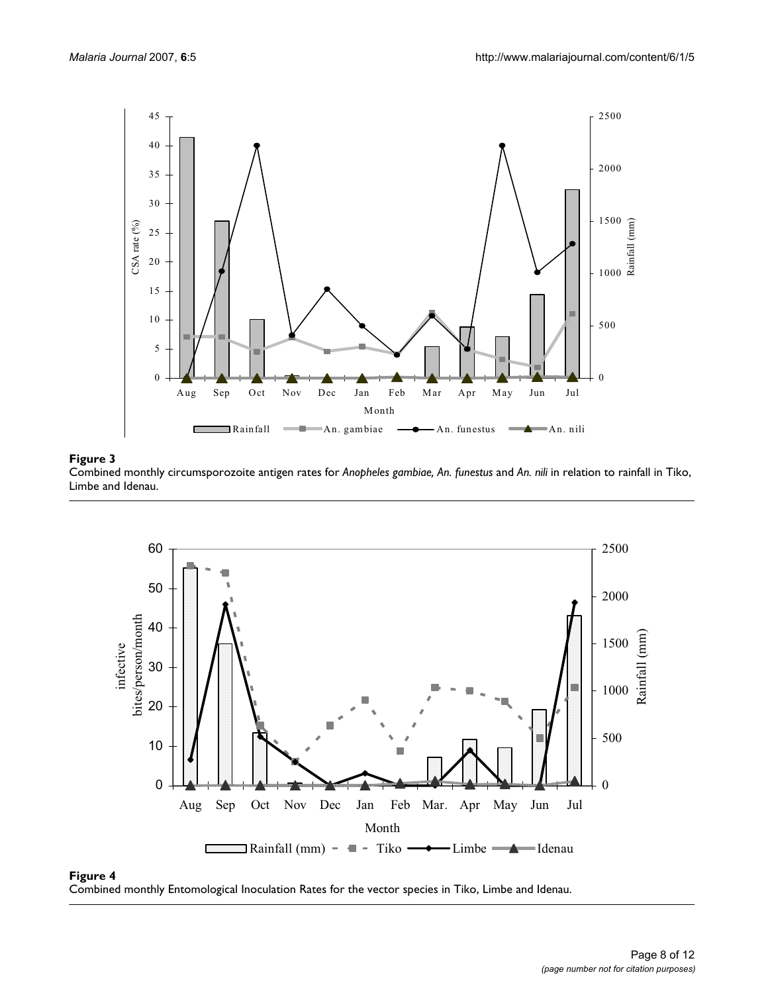

# Combined monthly circumspor Limbe and Idenau **Figure 3** ozoite antigen rates for *Anopheles gambiae, An. funestus* and *An. nili* in relation to rainfall in Tiko,

Combined monthly circumsporozoite antigen rates for *Anopheles gambiae, An. funestus* and *An. nili* in relation to rainfall in Tiko, Limbe and Idenau.



#### **Figure 4** Combined monthly Entomological Inoculation Rates for the vector species in Tiko, Limbe and Idenau

Combined monthly Entomological Inoculation Rates for the vector species in Tiko, Limbe and Idenau.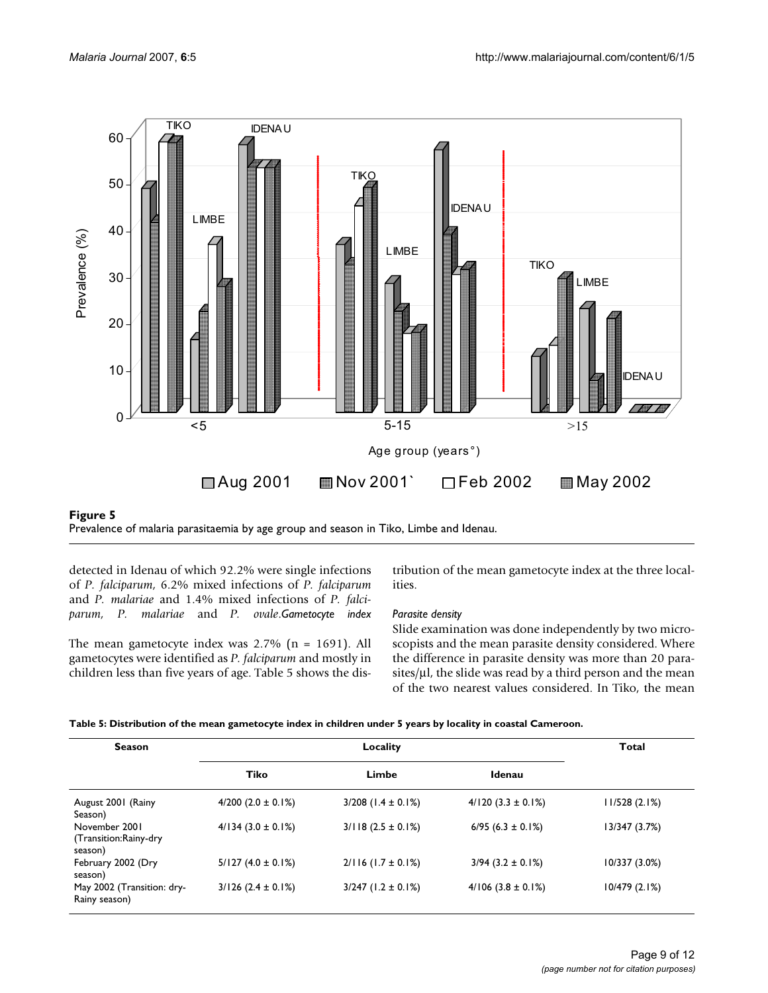

#### Prevalence of malaria parasitaemia by age **Figure 5** group and season in Tiko, Limbe and Idenau Prevalence of malaria parasitaemia by age group and season in Tiko, Limbe and Idenau.

detected in Idenau of which 92.2% were single infections of *P. falciparum*, 6.2% mixed infections of *P. falciparum* and *P. malariae* and 1.4% mixed infections of *P. falciparum, P. malariae* and *P. ovale*.*Gametocyte index*

The mean gametocyte index was 2.7% (n = 1691). All gametocytes were identified as *P. falciparum* and mostly in children less than five years of age. Table 5 shows the distribution of the mean gametocyte index at the three localities.

# *Parasite density*

Slide examination was done independently by two microscopists and the mean parasite density considered. Where the difference in parasite density was more than 20 parasites/μl, the slide was read by a third person and the mean of the two nearest values considered. In Tiko, the mean

| <b>Season</b>                                     | Locality                 |                          |                      |               |
|---------------------------------------------------|--------------------------|--------------------------|----------------------|---------------|
|                                                   | Tiko                     | Limbe                    | Idenau               |               |
| August 2001 (Rainy<br>Season)                     | $4/200$ (2.0 $\pm$ 0.1%) | $3/208$ (1.4 $\pm$ 0.1%) | $4/120$ (3.3 ± 0.1%) | 11/528(2.1%)  |
| November 2001<br>(Transition:Rainy-dry<br>season) | $4/134$ (3.0 ± 0.1%)     | $3/118$ (2.5 ± 0.1%)     | $6/95$ (6.3 ± 0.1%)  | 13/347 (3.7%) |
| February 2002 (Dry<br>season)                     | $5/127(4.0 \pm 0.1\%)$   | $2/116$ (1.7 ± 0.1%)     | $3/94$ (3.2 ± 0.1%)  | 10/337 (3.0%) |
| May 2002 (Transition: dry-<br>Rainy season)       | $3/126$ (2.4 ± 0.1%)     | $3/247$ (1.2 ± 0.1%)     | $4/106$ (3.8 ± 0.1%) | 10/479(2.1%)  |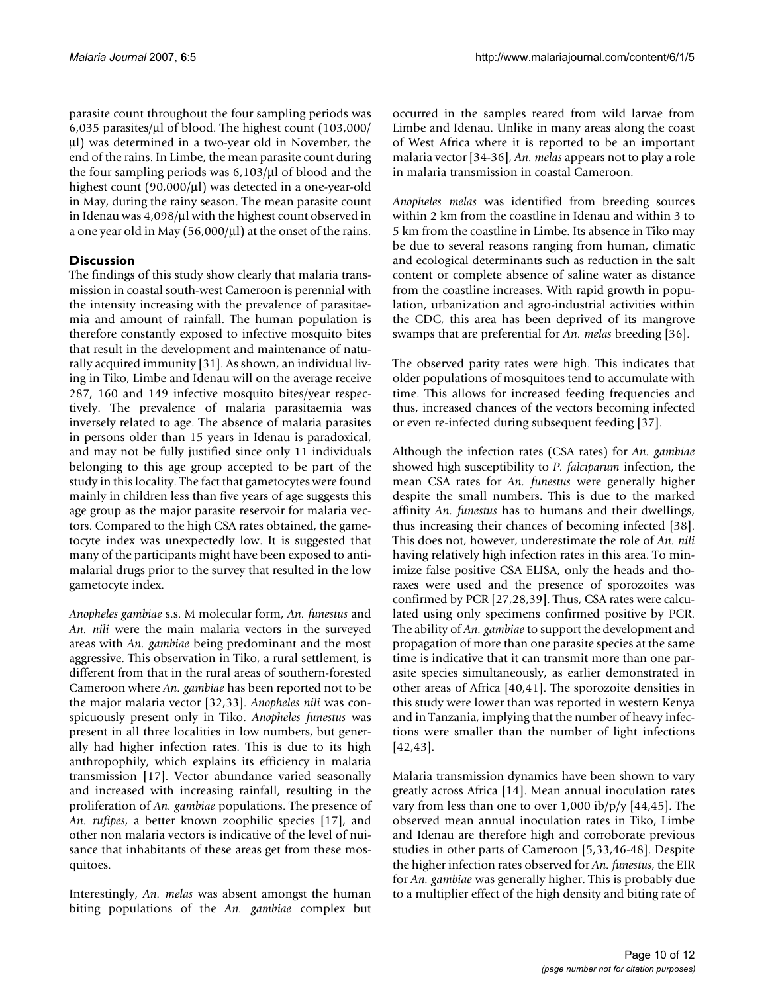parasite count throughout the four sampling periods was 6,035 parasites/μl of blood. The highest count (103,000/ μl) was determined in a two-year old in November, the end of the rains. In Limbe, the mean parasite count during the four sampling periods was 6,103/μl of blood and the highest count (90,000/μl) was detected in a one-year-old in May, during the rainy season. The mean parasite count in Idenau was 4,098/μl with the highest count observed in a one year old in May (56,000/μl) at the onset of the rains.

# **Discussion**

The findings of this study show clearly that malaria transmission in coastal south-west Cameroon is perennial with the intensity increasing with the prevalence of parasitaemia and amount of rainfall. The human population is therefore constantly exposed to infective mosquito bites that result in the development and maintenance of naturally acquired immunity [31]. As shown, an individual living in Tiko, Limbe and Idenau will on the average receive 287, 160 and 149 infective mosquito bites/year respectively. The prevalence of malaria parasitaemia was inversely related to age. The absence of malaria parasites in persons older than 15 years in Idenau is paradoxical, and may not be fully justified since only 11 individuals belonging to this age group accepted to be part of the study in this locality. The fact that gametocytes were found mainly in children less than five years of age suggests this age group as the major parasite reservoir for malaria vectors. Compared to the high CSA rates obtained, the gametocyte index was unexpectedly low. It is suggested that many of the participants might have been exposed to antimalarial drugs prior to the survey that resulted in the low gametocyte index.

*Anopheles gambiae* s.s. M molecular form, *An. funestus* and *An. nili* were the main malaria vectors in the surveyed areas with *An. gambiae* being predominant and the most aggressive. This observation in Tiko, a rural settlement, is different from that in the rural areas of southern-forested Cameroon where *An. gambiae* has been reported not to be the major malaria vector [32,33]. *Anopheles nili* was conspicuously present only in Tiko. *Anopheles funestus* was present in all three localities in low numbers, but generally had higher infection rates. This is due to its high anthropophily, which explains its efficiency in malaria transmission [17]. Vector abundance varied seasonally and increased with increasing rainfall, resulting in the proliferation of *An. gambiae* populations. The presence of *An. rufipes*, a better known zoophilic species [17], and other non malaria vectors is indicative of the level of nuisance that inhabitants of these areas get from these mosquitoes.

Interestingly, *An. melas* was absent amongst the human biting populations of the *An. gambiae* complex but

occurred in the samples reared from wild larvae from Limbe and Idenau. Unlike in many areas along the coast of West Africa where it is reported to be an important malaria vector [[34](#page-11-1)-36], *An. melas* appears not to play a role in malaria transmission in coastal Cameroon.

*Anopheles melas* was identified from breeding sources within 2 km from the coastline in Idenau and within 3 to 5 km from the coastline in Limbe. Its absence in Tiko may be due to several reasons ranging from human, climatic and ecological determinants such as reduction in the salt content or complete absence of saline water as distance from the coastline increases. With rapid growth in population, urbanization and agro-industrial activities within the CDC, this area has been deprived of its mangrove swamps that are preferential for *An. melas* breeding [36].

The observed parity rates were high. This indicates that older populations of mosquitoes tend to accumulate with time. This allows for increased feeding frequencies and thus, increased chances of the vectors becoming infected or even re-infected during subsequent feeding [37].

Although the infection rates (CSA rates) for *An. gambiae* showed high susceptibility to *P. falciparum* infection, the mean CSA rates for *An. funestus* were generally higher despite the small numbers. This is due to the marked affinity *An. funestus* has to humans and their dwellings, thus increasing their chances of becoming infected [38]. This does not, however, underestimate the role of *An. nili* having relatively high infection rates in this area. To minimize false positive CSA ELISA, only the heads and thoraxes were used and the presence of sporozoites was confirmed by PCR [27,28,39]. Thus, CSA rates were calculated using only specimens confirmed positive by PCR. The ability of *An. gambiae* to support the development and propagation of more than one parasite species at the same time is indicative that it can transmit more than one parasite species simultaneously, as earlier demonstrated in other areas of Africa [40,41]. The sporozoite densities in this study were lower than was reported in western Kenya and in Tanzania, implying that the number of heavy infections were smaller than the number of light infections [42,43].

Malaria transmission dynamics have been shown to vary greatly across Africa [14]. Mean annual inoculation rates vary from less than one to over  $1,000$  ib/p/y [[44,](#page-11-2)45]. The observed mean annual inoculation rates in Tiko, Limbe and Idenau are therefore high and corroborate previous studies in other parts of Cameroon [\[5,](#page-10-0)33,46-48]. Despite the higher infection rates observed for *An. funestus*, the EIR for *An. gambiae* was generally higher. This is probably due to a multiplier effect of the high density and biting rate of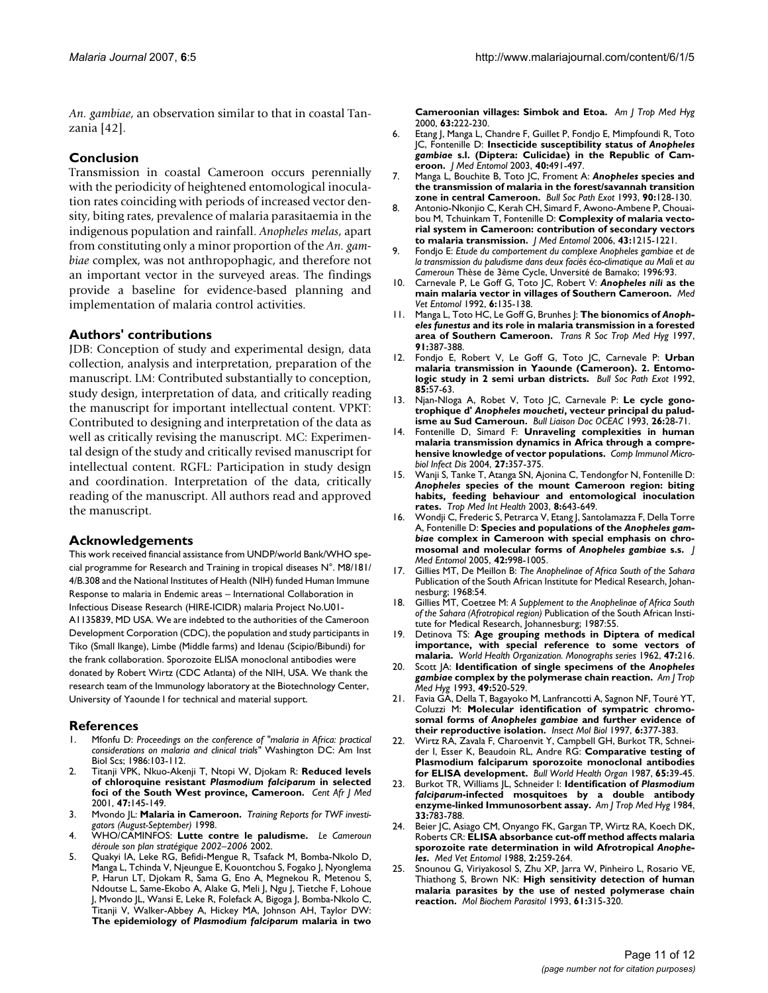*An. gambiae*, an observation similar to that in coastal Tanzania [42].

# **Conclusion**

Transmission in coastal Cameroon occurs perennially with the periodicity of heightened entomological inoculation rates coinciding with periods of increased vector density, biting rates, prevalence of malaria parasitaemia in the indigenous population and rainfall. *Anopheles melas*, apart from constituting only a minor proportion of the *An. gambiae* complex, was not anthropophagic, and therefore not an important vector in the surveyed areas. The findings provide a baseline for evidence-based planning and implementation of malaria control activities.

# **Authors' contributions**

JDB: Conception of study and experimental design, data collection, analysis and interpretation, preparation of the manuscript. LM: Contributed substantially to conception, study design, interpretation of data, and critically reading the manuscript for important intellectual content. VPKT: Contributed to designing and interpretation of the data as well as critically revising the manuscript. MC: Experimental design of the study and critically revised manuscript for intellectual content. RGFL: Participation in study design and coordination. Interpretation of the data, critically reading of the manuscript. All authors read and approved the manuscript.

#### **Acknowledgements**

This work received financial assistance from UNDP/world Bank/WHO special programme for Research and Training in tropical diseases N°. M8/181/ 4/B.308 and the National Institutes of Health (NIH) funded Human Immune Response to malaria in Endemic areas – International Collaboration in Infectious Disease Research (HIRE-ICIDR) malaria Project No.U01- A1135839, MD USA. We are indebted to the authorities of the Cameroon Development Corporation (CDC), the population and study participants in Tiko (Small Ikange), Limbe (Middle farms) and Idenau (Scipio/Bibundi) for the frank collaboration. Sporozoite ELISA monoclonal antibodies were donated by Robert Wirtz (CDC Atlanta) of the NIH, USA. We thank the research team of the Immunology laboratory at the Biotechnology Center, University of Yaounde I for technical and material support.

#### **References**

- 1. Mfonfu D: *Proceedings on the conference of "malaria in Africa: practical considerations on malaria and clinical trials"* Washington DC: Am Inst Biol Scs; 1986:103-112.
- 2. Titanji VPK, Nkuo-Akenji T, Ntopi W, Djokam R: **Reduced levels of chloroquine resistant** *Plasmodium falciparum* **[in selected](http://www.ncbi.nlm.nih.gov/entrez/query.fcgi?cmd=Retrieve&db=PubMed&dopt=Abstract&list_uids=12201020) [foci of the South West province, Cameroon.](http://www.ncbi.nlm.nih.gov/entrez/query.fcgi?cmd=Retrieve&db=PubMed&dopt=Abstract&list_uids=12201020)** *Cent Afr J Med* 2001, **47:**145-149.
- 3. Mvondo JL: **Malaria in Cameroon.** *Training Reports for TWF investigators (August-September)* 1998.
- 4. WHO/CAMINFOS: **Lutte contre le paludisme.** *Le Cameroun déroule son plan stratégique 2002–2006* 2002.
- <span id="page-10-0"></span>5. Quakyi IA, Leke RG, Befidi-Mengue R, Tsafack M, Bomba-Nkolo D, Manga L, Tchinda V, Njeungue E, Kouontchou S, Fogako J, Nyonglema P, Harun LT, Djokam R, Sama G, Eno A, Megnekou R, Metenou S, Ndoutse L, Same-Ekobo A, Alake G, Meli J, Ngu J, Tietche F, Lohoue J, Mvondo JL, Wansi E, Leke R, Folefack A, Bigoga J, Bomba-Nkolo C, Titanji V, Walker-Abbey A, Hickey MA, Johnson AH, Taylor DW: **The epidemiology of** *Plasmodium falciparum* **[malaria in two](http://www.ncbi.nlm.nih.gov/entrez/query.fcgi?cmd=Retrieve&db=PubMed&dopt=Abstract&list_uids=11421368)**

**[Cameroonian villages: Simbok and Etoa.](http://www.ncbi.nlm.nih.gov/entrez/query.fcgi?cmd=Retrieve&db=PubMed&dopt=Abstract&list_uids=11421368)** *Am J Trop Med Hyg* 2000, **63:**222-230.

- <span id="page-10-1"></span>6. Etang J, Manga L, Chandre F, Guillet P, Fondjo E, Mimpfoundi R, Toto JC, Fontenille D: **Insecticide susceptibility status of** *Anopheles gambiae* **[s.l. \(Diptera: Culicidae\) in the Republic of Cam](http://www.ncbi.nlm.nih.gov/entrez/query.fcgi?cmd=Retrieve&db=PubMed&dopt=Abstract&list_uids=14680116)[eroon.](http://www.ncbi.nlm.nih.gov/entrez/query.fcgi?cmd=Retrieve&db=PubMed&dopt=Abstract&list_uids=14680116)** *J Med Entomol* 2003, **40:**491-497.
- 7. Manga L, Bouchite B, Toto JC, Froment A: *Anopheles* **species and the transmission of malaria in the forest/savannah transition zone in central Cameroon.** *Bull Soc Path Exot* 1993, **90:**128-130.
- 8. Antonio-Nkonjio C, Kerah CH, Simard F, Awono-Ambene P, Chouaibou M, Tchuinkam T, Fontenille D: **[Complexity of malaria vecto](http://www.ncbi.nlm.nih.gov/entrez/query.fcgi?cmd=Retrieve&db=PubMed&dopt=Abstract&list_uids=17162956)[rial system in Cameroon: contribution of secondary vectors](http://www.ncbi.nlm.nih.gov/entrez/query.fcgi?cmd=Retrieve&db=PubMed&dopt=Abstract&list_uids=17162956) [to malaria transmission.](http://www.ncbi.nlm.nih.gov/entrez/query.fcgi?cmd=Retrieve&db=PubMed&dopt=Abstract&list_uids=17162956)** *J Med Entomol* 2006, **43:**1215-1221.
- 9. Fondjo E: *Etude du comportement du complexe Anopheles gambiae et de la transmission du paludisme dans deux faciès éco-climatique au Mali et au Cameroun* Thèse de 3ème Cycle, Unversité de Bamako; 1996:93.
- 10. Carnevale P, Le Goff G, Toto JC, Robert V: *Anopheles nili* **[as the](http://www.ncbi.nlm.nih.gov/entrez/query.fcgi?cmd=Retrieve&db=PubMed&dopt=Abstract&list_uids=1421483) [main malaria vector in villages of Southern Cameroon.](http://www.ncbi.nlm.nih.gov/entrez/query.fcgi?cmd=Retrieve&db=PubMed&dopt=Abstract&list_uids=1421483)** *Med Vet Entomol* 1992, **6:**135-138.
- 11. Manga L, Toto HC, Le Goff G, Brunhes J: **The bionomics of** *Anopheles funestus* **[and its role in malaria transmission in a forested](http://www.ncbi.nlm.nih.gov/entrez/query.fcgi?cmd=Retrieve&db=PubMed&dopt=Abstract&list_uids=9373627) [area of Southern Cameroon.](http://www.ncbi.nlm.nih.gov/entrez/query.fcgi?cmd=Retrieve&db=PubMed&dopt=Abstract&list_uids=9373627)** *Trans R Soc Trop Med Hyg* 1997, **91:**387-388.
- 12. Fondjo E, Robert V, Le Goff G, Toto JC, Carnevale P: **Urban malaria transmission in Yaounde (Cameroon). 2. Entomologic study in 2 semi urban districts.** *Bull Soc Path Exot* 1992, **85:**57-63.
- 13. Njan-Nloga A, Robet V, Toto JC, Carnevale P: **Le cycle gonotrophique d'** *Anopheles moucheti***, vecteur principal du paludisme au Sud Cameroun.** *Bull Liaison Doc OCEAC* 1993, **26:**28-71.
- 14. Fontenille D, Simard F: **[Unraveling complexities in human](http://www.ncbi.nlm.nih.gov/entrez/query.fcgi?cmd=Retrieve&db=PubMed&dopt=Abstract&list_uids=15225985) [malaria transmission dynamics in Africa through a compre](http://www.ncbi.nlm.nih.gov/entrez/query.fcgi?cmd=Retrieve&db=PubMed&dopt=Abstract&list_uids=15225985)[hensive knowledge of vector populations.](http://www.ncbi.nlm.nih.gov/entrez/query.fcgi?cmd=Retrieve&db=PubMed&dopt=Abstract&list_uids=15225985)** *Comp Immunol Microbiol Infect Dis* 2004, **27:**357-375.
- 15. Wanji S, Tanke T, Atanga SN, Ajonina C, Tendongfor N, Fontenille D: *Anopheles* **[species of the mount Cameroon region: biting](http://www.ncbi.nlm.nih.gov/entrez/query.fcgi?cmd=Retrieve&db=PubMed&dopt=Abstract&list_uids=12828548) [habits, feeding behaviour and entomological inoculation](http://www.ncbi.nlm.nih.gov/entrez/query.fcgi?cmd=Retrieve&db=PubMed&dopt=Abstract&list_uids=12828548) [rates.](http://www.ncbi.nlm.nih.gov/entrez/query.fcgi?cmd=Retrieve&db=PubMed&dopt=Abstract&list_uids=12828548)** *Trop Med Int Health* 2003, **8:**643-649.
- 16. Wondji C, Frederic S, Petrarca V, Etang J, Santolamazza F, Della Torre A, Fontenille D: **Species and populations of the** *Anopheles gambiae* **complex in Cameroon with special emphasis on chromosomal and molecular forms of** *Anopheles gambiae* **[s.s.](http://www.ncbi.nlm.nih.gov/entrez/query.fcgi?cmd=Retrieve&db=PubMed&dopt=Abstract&list_uids=16465741)** *J Med Entomol* 2005, **42:**998-1005.
- 17. Gillies MT, De Meillon B: *The Anophelinae of Africa South of the Sahara* Publication of the South African Institute for Medical Research, Johannesburg; 1968:54.
- 18. Gillies MT, Coetzee M: *A Supplement to the Anophelinae of Africa South of the Sahara (Afrotropical region)* Publication of the South African Institute for Medical Research, Johannesburg; 1987:55.
- 19. Detinova TS: **Age grouping methods in Diptera of medical importance, with special reference to some vectors of malaria.** *World Health Organization. Monographs series* 1962, **47:**216.
- <span id="page-10-2"></span>20. Scott JA: **Identification of single specimens of the** *Anopheles gambiae* **[complex by the polymerase chain reaction.](http://www.ncbi.nlm.nih.gov/entrez/query.fcgi?cmd=Retrieve&db=PubMed&dopt=Abstract&list_uids=8214283)** *Am J Trop Med Hyg* 1993, **49:**520-529.
- 21. Favia GA, Della T, Bagayoko M, Lanfrancotti A, Sagnon NF, Touré YT, Coluzzi M: **Molecular identification of sympatric chromosomal forms of** *Anopheles gambiae* **[and further evidence of](http://www.ncbi.nlm.nih.gov/entrez/query.fcgi?cmd=Retrieve&db=PubMed&dopt=Abstract&list_uids=9359579) [their reproductive isolation.](http://www.ncbi.nlm.nih.gov/entrez/query.fcgi?cmd=Retrieve&db=PubMed&dopt=Abstract&list_uids=9359579)** *Insect Mol Biol* 1997, **6:**377-383.
- 22. Wirtz RA, Zavala F, Charoenvit Y, Campbell GH, Burkot TR, Schneider I, Esser K, Beaudoin RL, Andre RG: **[Comparative testing of](http://www.ncbi.nlm.nih.gov/entrez/query.fcgi?cmd=Retrieve&db=PubMed&dopt=Abstract&list_uids=3555879) [Plasmodium falciparum sporozoite monoclonal antibodies](http://www.ncbi.nlm.nih.gov/entrez/query.fcgi?cmd=Retrieve&db=PubMed&dopt=Abstract&list_uids=3555879) [for ELISA development.](http://www.ncbi.nlm.nih.gov/entrez/query.fcgi?cmd=Retrieve&db=PubMed&dopt=Abstract&list_uids=3555879)** *Bull World Health Organ* 1987, **65:**39-45.
- <span id="page-10-3"></span>23. Burkot TR, Williams JL, Schneider I: **Identification of** *Plasmodium falciparum***[-infected mosquitoes by a double antibody](http://www.ncbi.nlm.nih.gov/entrez/query.fcgi?cmd=Retrieve&db=PubMed&dopt=Abstract&list_uids=6385740) [enzyme-linked Immunosorbent assay.](http://www.ncbi.nlm.nih.gov/entrez/query.fcgi?cmd=Retrieve&db=PubMed&dopt=Abstract&list_uids=6385740)** *Am J Trop Med Hyg* 1984, **33:**783-788.
- 24. Beier JC, Asiago CM, Onyango FK, Gargan TP, Wirtz RA, Koech DK, Roberts CR: **ELISA absorbance cut-off method affects malaria sporozoite rate determination in wild Afrotropical** *Anopheles***[.](http://www.ncbi.nlm.nih.gov/entrez/query.fcgi?cmd=Retrieve&db=PubMed&dopt=Abstract&list_uids=2980182)** *Med Vet Entomol* 1988, **2:**259-264.
- 25. Snounou G, Viriyakosol S, Zhu XP, Jarra W, Pinheiro L, Rosario VE, Thiathong S, Brown NK: **[High sensitivity detection of human](http://www.ncbi.nlm.nih.gov/entrez/query.fcgi?cmd=Retrieve&db=PubMed&dopt=Abstract&list_uids=8264734) [malaria parasites by the use of nested polymerase chain](http://www.ncbi.nlm.nih.gov/entrez/query.fcgi?cmd=Retrieve&db=PubMed&dopt=Abstract&list_uids=8264734) [reaction.](http://www.ncbi.nlm.nih.gov/entrez/query.fcgi?cmd=Retrieve&db=PubMed&dopt=Abstract&list_uids=8264734)** *Mol Biochem Parasitol* 1993, **61:**315-320.